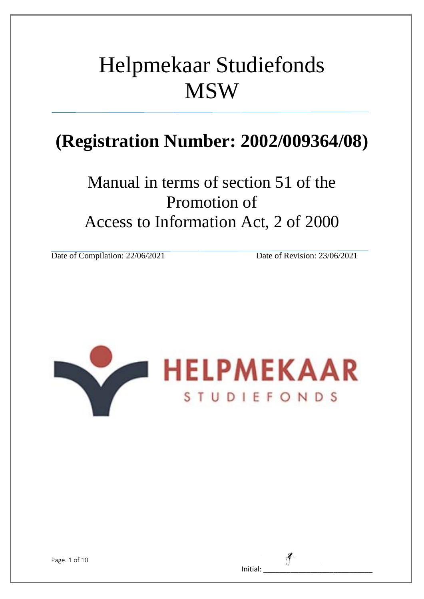# Helpmekaar Studiefonds **MSW**

## **(Registration Number: 2002/009364/08)**

Manual in terms of section 51 of the Promotion of Access to Information Act, 2 of 2000

Date of Compilation: 22/06/2021 Date of Revision: 23/06/2021



| Initial: |  |  |
|----------|--|--|
|          |  |  |

Page. 1 of 10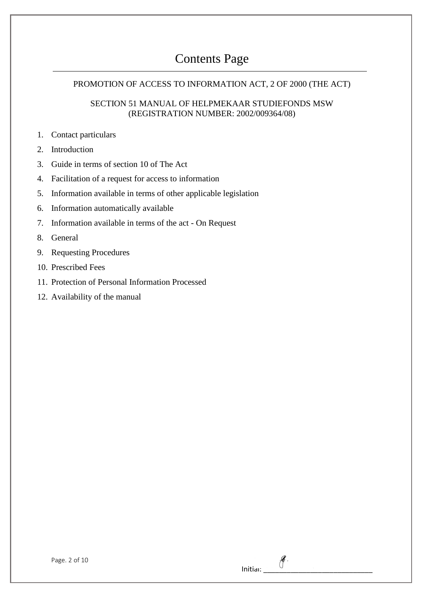## Contents Page

#### PROMOTION OF ACCESS TO INFORMATION ACT, 2 OF 2000 (THE ACT)

#### SECTION 51 MANUAL OF HELPMEKAAR STUDIEFONDS MSW (REGISTRATION NUMBER: 2002/009364/08)

Initial:  $\mathscr{J}$ .

- 1. Contact particulars
- 2. Introduction
- 3. Guide in terms of section 10 of The Act
- 4. Facilitation of a request for access to information
- 5. Information available in terms of other applicable legislation
- 6. Information automatically available
- 7. Information available in terms of the act On Request
- 8. General
- 9. Requesting Procedures
- 10. Prescribed Fees
- 11. Protection of Personal Information Processed
- 12. Availability of the manual

| Page. 2 of 10 |  |  |  |  |
|---------------|--|--|--|--|
|---------------|--|--|--|--|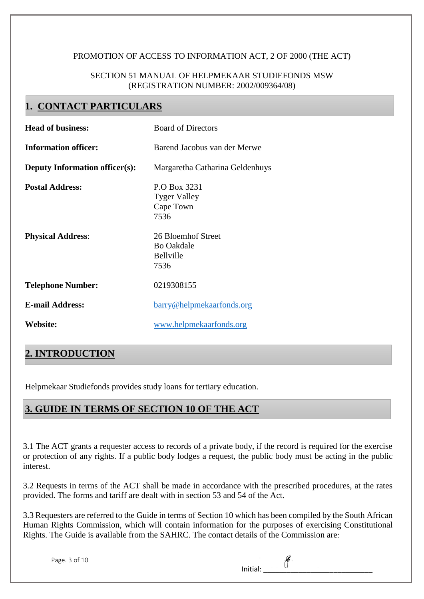#### PROMOTION OF ACCESS TO INFORMATION ACT, 2 OF 2000 (THE ACT)

#### SECTION 51 MANUAL OF HELPMEKAAR STUDIEFONDS MSW (REGISTRATION NUMBER: 2002/009364/08)

## **1. CONTACT PARTICULARS**

| <b>Head of business:</b>                           | <b>Board of Directors</b>                                                                           |
|----------------------------------------------------|-----------------------------------------------------------------------------------------------------|
| <b>Information officer:</b>                        | Barend Jacobus van der Merwe                                                                        |
| <b>Deputy Information officer(s):</b>              | Margaretha Catharina Geldenhuys                                                                     |
| <b>Postal Address:</b><br><b>Physical Address:</b> | P.O Box 3231<br><b>Tyger Valley</b><br>Cape Town<br>7536<br>26 Bloemhof Street<br><b>Bo Oakdale</b> |
|                                                    | Bellville<br>7536                                                                                   |
| <b>Telephone Number:</b>                           | 0219308155                                                                                          |
| <b>E-mail Address:</b>                             | barry@helpmekaarfonds.org                                                                           |
| Website:                                           | www.helpmekaarfonds.org                                                                             |

## **2. INTRODUCTION**

Helpmekaar Studiefonds provides study loans for tertiary education.

## **3. GUIDE IN TERMS OF SECTION 10 OF THE ACT**

3.1 The ACT grants a requester access to records of a private body, if the record is required for the exercise or protection of any rights. If a public body lodges a request, the public body must be acting in the public interest.

3.2 Requests in terms of the ACT shall be made in accordance with the prescribed procedures, at the rates provided. The forms and tariff are dealt with in section 53 and 54 of the Act.

3.3 Requesters are referred to the Guide in terms of Section 10 which has been compiled by the South African Human Rights Commission, which will contain information for the purposes of exercising Constitutional Rights. The Guide is available from the SAHRC. The contact details of the Commission are:

| Initial: |  |  |
|----------|--|--|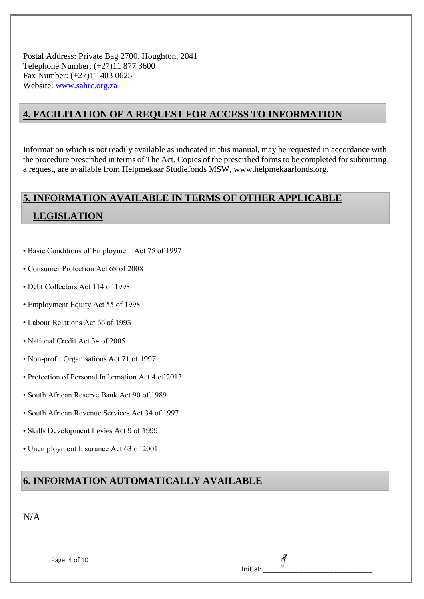Postal Address: Private Bag 2700, Houghton, 2041 Telephone Number: (+27)11 877 3600 Fax Number: (+27)11 403 0625 Website: www.sahrc.org.za

### **4. FACILITATION OF A REQUEST FOR ACCESS TO INFORMATION**

Information which is not readily available as indicated in this manual, may be requested in accordance with the procedure prescribed in terms of The Act. Copies of the prescribed forms to be completed for submitting a request, are available from Helpmekaar Studiefonds MSW, www.helpmekaarfonds.org.

## **5. INFORMATION AVAILABLE IN TERMS OF OTHER APPLICABLE LEGISLATION**

- Basic Conditions of Employment Act 75 of 1997
- Consumer Protection Act 68 of 2008
- Debt Collectors Act 114 of 1998
- Employment Equity Act 55 of 1998
- Labour Relations Act 66 of 1995
- National Credit Act 34 of 2005
- Non-profit Organisations Act 71 of 1997
- Protection of Personal Information Act 4 of 2013
- South African Reserve Bank Act 90 of 1989
- South African Revenue Services Act 34 of 1997
- Skills Development Levies Act 9 of 1999
- Unemployment Insurance Act 63 of 2001

## **6. INFORMATION AUTOMATICALLY AVAILABLE**

| Page. 4 of 10 |  |  |  |
|---------------|--|--|--|
|---------------|--|--|--|

| Initial: |  |
|----------|--|
|          |  |

 $\mathscr{E}$ .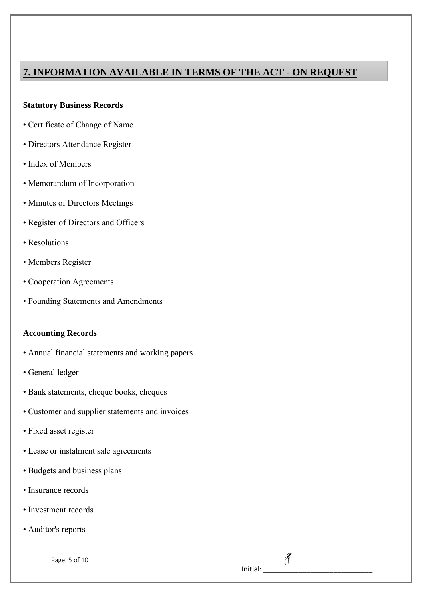## **7. INFORMATION AVAILABLE IN TERMS OF THE ACT - ON REQUEST**

#### **Statutory Business Records**

- Certificate of Change of Name
- Directors Attendance Register
- Index of Members
- Memorandum of Incorporation
- Minutes of Directors Meetings
- Register of Directors and Officers
- Resolutions
- Members Register
- Cooperation Agreements
- Founding Statements and Amendments

#### **Accounting Records**

- Annual financial statements and working papers
- General ledger
- Bank statements, cheque books, cheques
- Customer and supplier statements and invoices
- Fixed asset register
- Lease or instalment sale agreements
- Budgets and business plans
- Insurance records
- Investment records
- Auditor's reports

Page. 5 of 10

Initial:

 $\mathscr{E}.$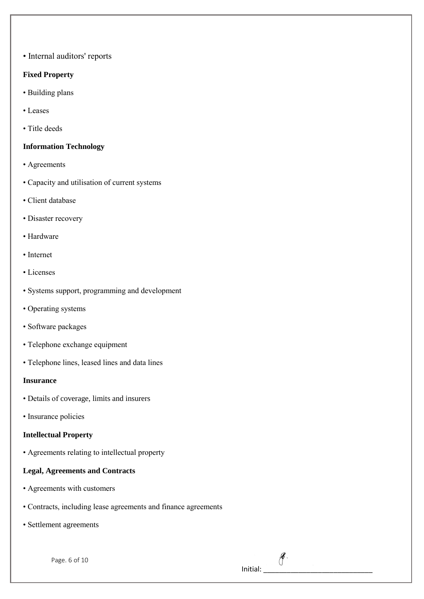• Internal auditors' reports

#### **Fixed Property**

- Building plans
- Leases
- Title deeds

#### **Information Technology**

- Agreements
- Capacity and utilisation of current systems
- Client database
- Disaster recovery
- Hardware
- Internet
- Licenses
- Systems support, programming and development
- Operating systems
- Software packages
- Telephone exchange equipment
- Telephone lines, leased lines and data lines

#### **Insurance**

- Details of coverage, limits and insurers
- Insurance policies

#### **Intellectual Property**

• Agreements relating to intellectual property

#### **Legal, Agreements and Contracts**

- Agreements with customers
- Contracts, including lease agreements and finance agreements
- Settlement agreements

Page. 6 of 10

## Initial:  $\overline{\phantom{a}}$

 $\mathscr{E}$ .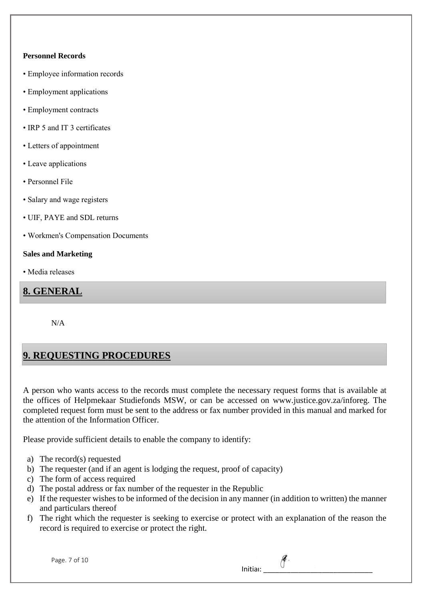#### **Personnel Records**

- Employee information records
- Employment applications
- Employment contracts
- IRP 5 and IT 3 certificates
- Letters of appointment
- Leave applications
- Personnel File
- Salary and wage registers
- UIF, PAYE and SDL returns
- Workmen's Compensation Documents

#### **Sales and Marketing**

• Media releases

#### **8. GENERAL**

N/A

## **9. REQUESTING PROCEDURES**

A person who wants access to the records must complete the necessary request forms that is available at the offices of Helpmekaar Studiefonds MSW, or can be accessed on www.justice.gov.za/inforeg. The completed request form must be sent to the address or fax number provided in this manual and marked for the attention of the Information Officer.

Please provide sufficient details to enable the company to identify:

- a) The record(s) requested
- b) The requester (and if an agent is lodging the request, proof of capacity)
- c) The form of access required
- d) The postal address or fax number of the requester in the Republic
- e) If the requester wishes to be informed of the decision in any manner (in addition to written) the manner and particulars thereof
- f) The right which the requester is seeking to exercise or protect with an explanation of the reason the record is required to exercise or protect the right.

| Page. 7 of 10 |  |  |
|---------------|--|--|
|               |  |  |

| Initial: |  |  |
|----------|--|--|

 $\theta$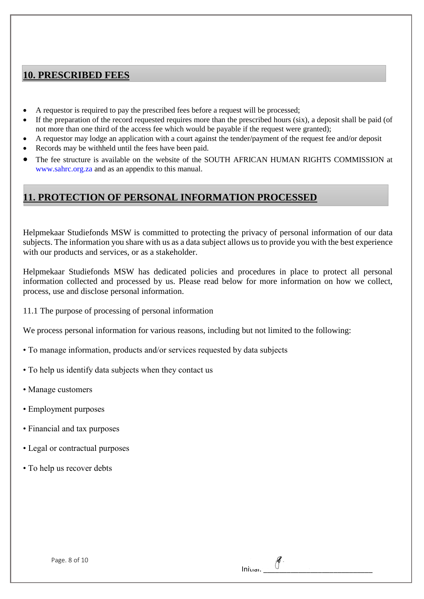### **10. PRESCRIBED FEES**

- A requestor is required to pay the prescribed fees before a request will be processed;
- If the preparation of the record requested requires more than the prescribed hours (six), a deposit shall be paid (of not more than one third of the access fee which would be payable if the request were granted);
- A requestor may lodge an application with a court against the tender/payment of the request fee and/or deposit
- Records may be withheld until the fees have been paid.
- The fee structure is available on the website of the SOUTH AFRICAN HUMAN RIGHTS COMMISSION at www.sahrc.org.za and as an appendix to this manual.

## **11. PROTECTION OF PERSONAL INFORMATION PROCESSED**

Helpmekaar Studiefonds MSW is committed to protecting the privacy of personal information of our data subjects. The information you share with us as a data subject allows us to provide you with the best experience with our products and services, or as a stakeholder.

Helpmekaar Studiefonds MSW has dedicated policies and procedures in place to protect all personal information collected and processed by us. Please read below for more information on how we collect, process, use and disclose personal information.

 $In$ 

11.1 The purpose of processing of personal information

We process personal information for various reasons, including but not limited to the following:

- To manage information, products and/or services requested by data subjects
- To help us identify data subjects when they contact us
- Manage customers
- Employment purposes
- Financial and tax purposes
- Legal or contractual purposes
- To help us recover debts

| Page. 8 of 10 |  |  |  |
|---------------|--|--|--|
|---------------|--|--|--|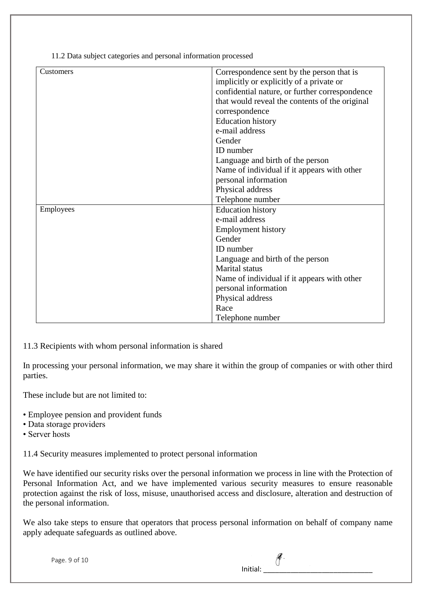11.2 Data subject categories and personal information processed

| Customers | Correspondence sent by the person that is      |
|-----------|------------------------------------------------|
|           | implicitly or explicitly of a private or       |
|           | confidential nature, or further correspondence |
|           | that would reveal the contents of the original |
|           | correspondence                                 |
|           | <b>Education history</b>                       |
|           | e-mail address                                 |
|           | Gender                                         |
|           | ID number                                      |
|           | Language and birth of the person               |
|           | Name of individual if it appears with other    |
|           | personal information                           |
|           | Physical address                               |
|           | Telephone number                               |
|           |                                                |
| Employees | <b>Education history</b>                       |
|           | e-mail address                                 |
|           | <b>Employment history</b>                      |
|           | Gender                                         |
|           | ID number                                      |
|           | Language and birth of the person               |
|           | <b>Marital</b> status                          |
|           | Name of individual if it appears with other    |
|           | personal information                           |
|           | Physical address                               |
|           | Race                                           |
|           | Telephone number                               |

11.3 Recipients with whom personal information is shared

In processing your personal information, we may share it within the group of companies or with other third parties.

These include but are not limited to:

- Employee pension and provident funds
- Data storage providers
- Server hosts

11.4 Security measures implemented to protect personal information

We have identified our security risks over the personal information we process in line with the Protection of Personal Information Act, and we have implemented various security measures to ensure reasonable protection against the risk of loss, misuse, unauthorised access and disclosure, alteration and destruction of the personal information.

We also take steps to ensure that operators that process personal information on behalf of company name apply adequate safeguards as outlined above.

|  | Page. 9 of 10 |  |  |  |
|--|---------------|--|--|--|
|--|---------------|--|--|--|

| Initial: |  |  |  |
|----------|--|--|--|
|          |  |  |  |